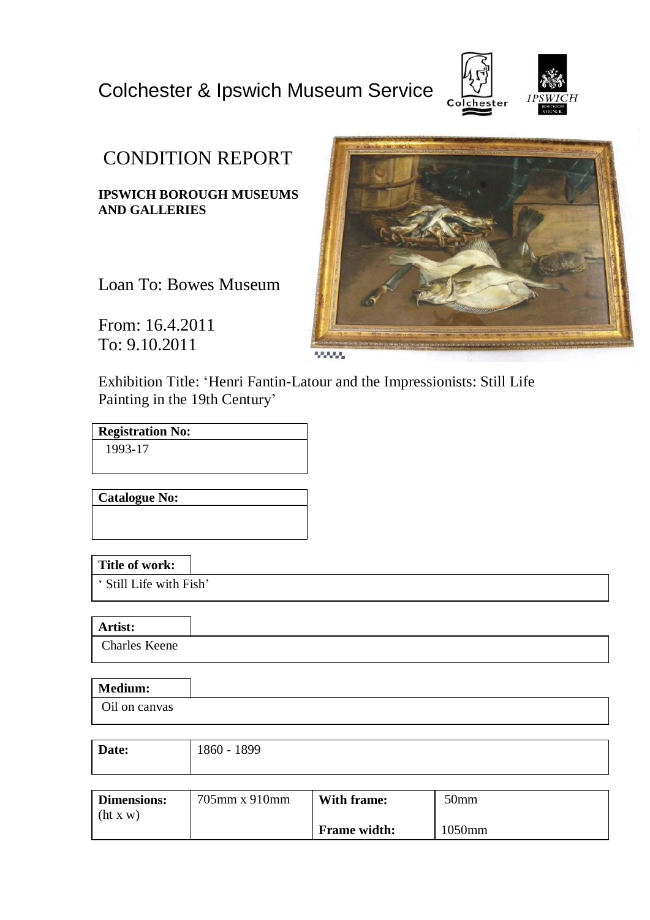# Colchester & Ipswich Museum Service



# CONDITION REPORT

**IPSWICH BOROUGH MUSEUMS AND GALLERIES**

Loan To: Bowes Museum

From: 16.4.2011 To: 9.10.2011

Exhibition Title: 'Henri Fantin-Latour and the Impressionists: Still Life Painting in the 19th Century'

**Registration No:** 1993-17

**Catalogue No:**

**Title of work:**

' Still Life with Fish'

**Artist:**

Charles Keene

| <b>Medium:</b> |  |
|----------------|--|
| Oil on canvas  |  |

| Date: | 1899<br>$1860 - 1$ |
|-------|--------------------|
|       |                    |

| <b>Dimensions:</b> | $705$ mm x 910mm | With frame:         | 50 <sub>mm</sub> |
|--------------------|------------------|---------------------|------------------|
| (ht x w)           |                  |                     |                  |
|                    |                  | <b>Frame width:</b> | 1050mm           |

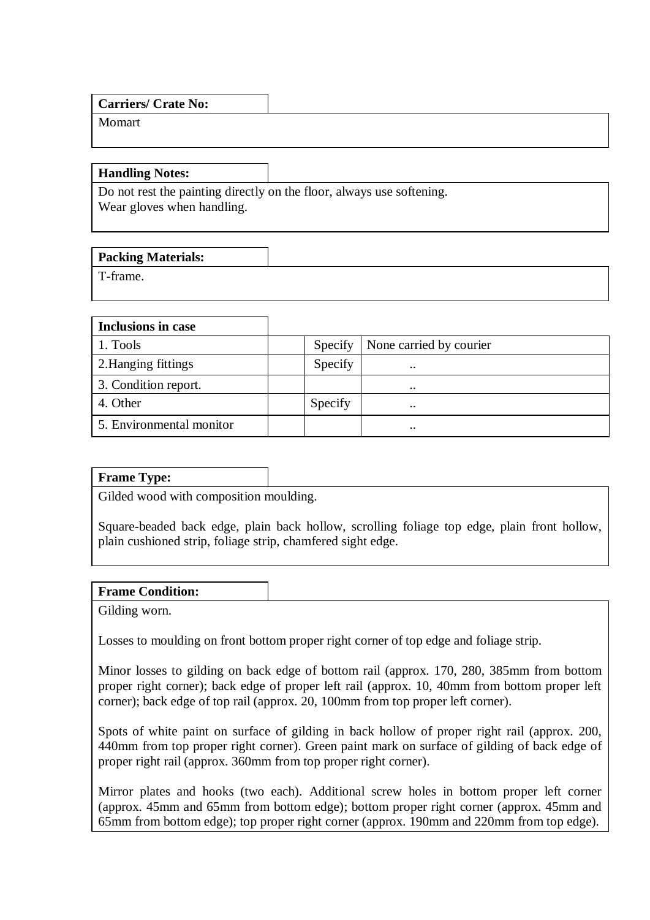| <b>Carriers/ Crate No:</b> |  |
|----------------------------|--|
| Momart                     |  |
|                            |  |

**Handling Notes:**

Do not rest the painting directly on the floor, always use softening. Wear gloves when handling.

| <b>Packing Materials:</b> |  |
|---------------------------|--|
| T-frame.                  |  |

| <b>Inclusions in case</b> |         |                         |
|---------------------------|---------|-------------------------|
| 1. Tools                  | Specify | None carried by courier |
| 2. Hanging fittings       | Specify | $\ddot{\phantom{0}}$    |
| 3. Condition report.      |         | $\cdot \cdot$           |
| 4. Other                  | Specify | $\ddot{\phantom{0}}$    |
| 5. Environmental monitor  |         | $\cdot \cdot$           |

### **Frame Type:**

Gilded wood with composition moulding.

Square-beaded back edge, plain back hollow, scrolling foliage top edge, plain front hollow, plain cushioned strip, foliage strip, chamfered sight edge.

### **Frame Condition:**

Gilding worn.

Losses to moulding on front bottom proper right corner of top edge and foliage strip.

Minor losses to gilding on back edge of bottom rail (approx. 170, 280, 385mm from bottom proper right corner); back edge of proper left rail (approx. 10, 40mm from bottom proper left corner); back edge of top rail (approx. 20, 100mm from top proper left corner).

Spots of white paint on surface of gilding in back hollow of proper right rail (approx. 200, 440mm from top proper right corner). Green paint mark on surface of gilding of back edge of proper right rail (approx. 360mm from top proper right corner).

Mirror plates and hooks (two each). Additional screw holes in bottom proper left corner (approx. 45mm and 65mm from bottom edge); bottom proper right corner (approx. 45mm and 65mm from bottom edge); top proper right corner (approx. 190mm and 220mm from top edge).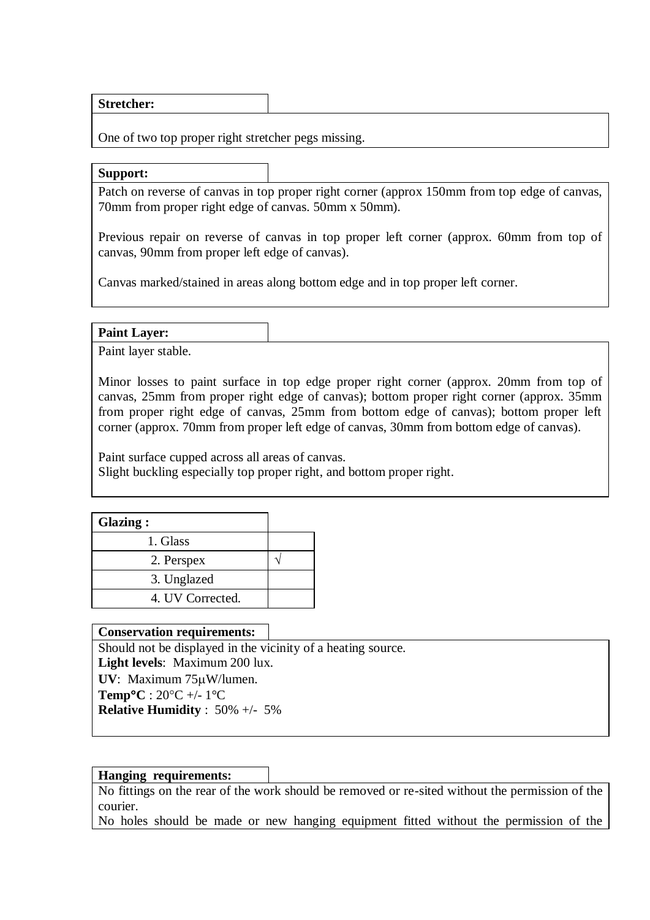**Stretcher:**

One of two top proper right stretcher pegs missing.

**Support:**

Patch on reverse of canvas in top proper right corner (approx 150mm from top edge of canvas, 70mm from proper right edge of canvas. 50mm x 50mm).

Previous repair on reverse of canvas in top proper left corner (approx. 60mm from top of canvas, 90mm from proper left edge of canvas).

Canvas marked/stained in areas along bottom edge and in top proper left corner.

**Paint Layer:**

Paint layer stable.

Minor losses to paint surface in top edge proper right corner (approx. 20mm from top of canvas, 25mm from proper right edge of canvas); bottom proper right corner (approx. 35mm from proper right edge of canvas, 25mm from bottom edge of canvas); bottom proper left corner (approx. 70mm from proper left edge of canvas, 30mm from bottom edge of canvas).

Paint surface cupped across all areas of canvas. Slight buckling especially top proper right, and bottom proper right.

| Glazing:         |  |
|------------------|--|
| 1. Glass         |  |
| 2. Perspex       |  |
| 3. Unglazed      |  |
| 4. UV Corrected. |  |

### **Conservation requirements:**

Should not be displayed in the vicinity of a heating source. **Light levels**: Maximum 200 lux.

**UV**: Maximum 75W/lumen. **Temp<sup>o</sup>C** :  $20^{\circ}$ C +/- 1<sup>o</sup>C

**Relative Humidity** : 50% +/- 5%

### **Hanging requirements:**

No fittings on the rear of the work should be removed or re-sited without the permission of the courier.

No holes should be made or new hanging equipment fitted without the permission of the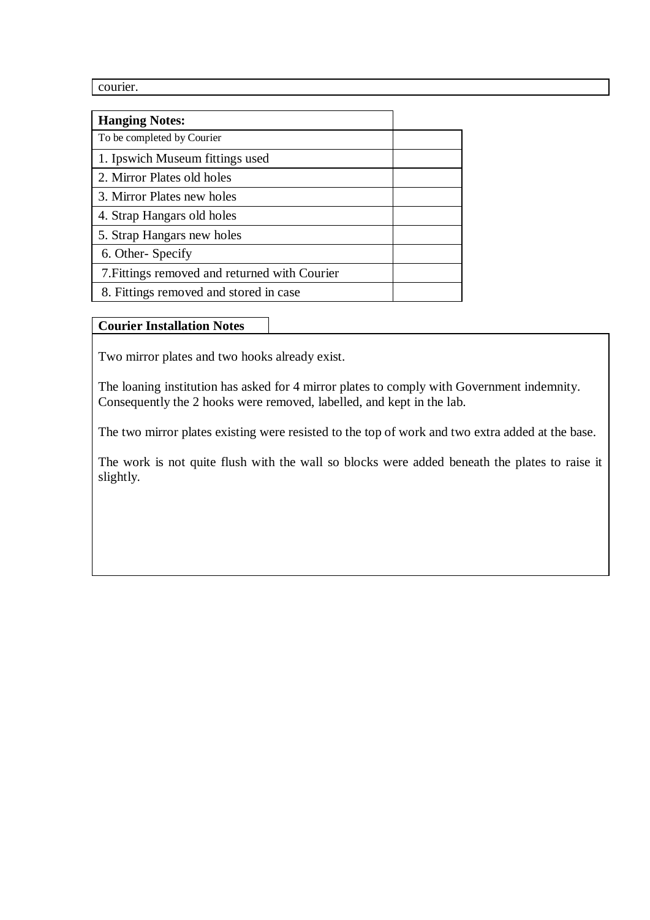courier.

| <b>Hanging Notes:</b>                         |  |
|-----------------------------------------------|--|
| To be completed by Courier                    |  |
| 1. Ipswich Museum fittings used               |  |
| 2. Mirror Plates old holes                    |  |
| 3. Mirror Plates new holes                    |  |
| 4. Strap Hangars old holes                    |  |
| 5. Strap Hangars new holes                    |  |
| 6. Other-Specify                              |  |
| 7. Fittings removed and returned with Courier |  |
| 8. Fittings removed and stored in case        |  |

## **Courier Installation Notes**

Two mirror plates and two hooks already exist.

The loaning institution has asked for 4 mirror plates to comply with Government indemnity. Consequently the 2 hooks were removed, labelled, and kept in the lab.

The two mirror plates existing were resisted to the top of work and two extra added at the base.

The work is not quite flush with the wall so blocks were added beneath the plates to raise it slightly.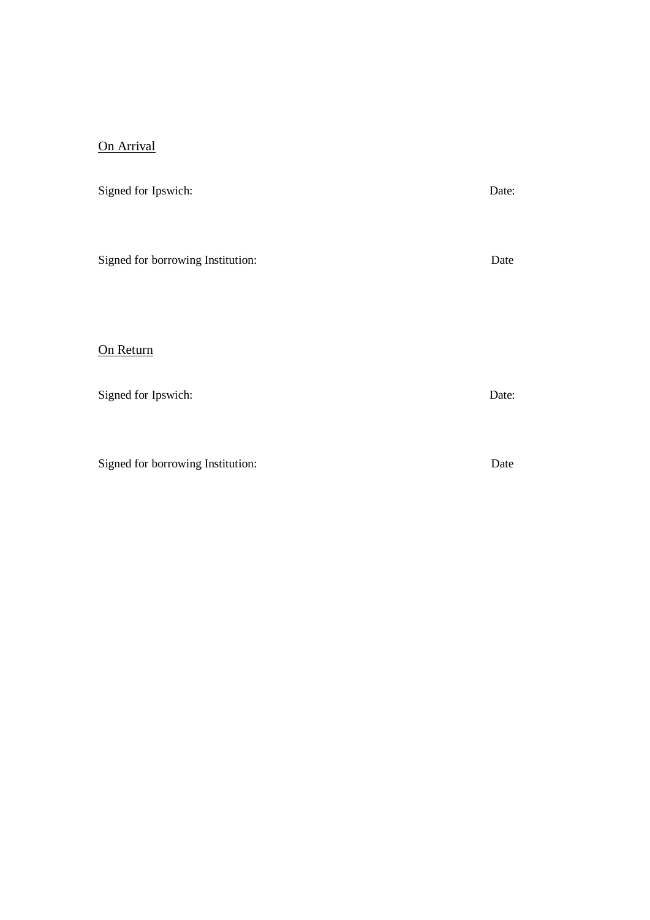# On Arrival

| Signed for Ipswich:               | Date: |
|-----------------------------------|-------|
|                                   |       |
| Signed for borrowing Institution: | Date  |
|                                   |       |
|                                   |       |
| On Return                         |       |
| Signed for Ipswich:               | Date: |
|                                   |       |
|                                   |       |

Signed for borrowing Institution: Date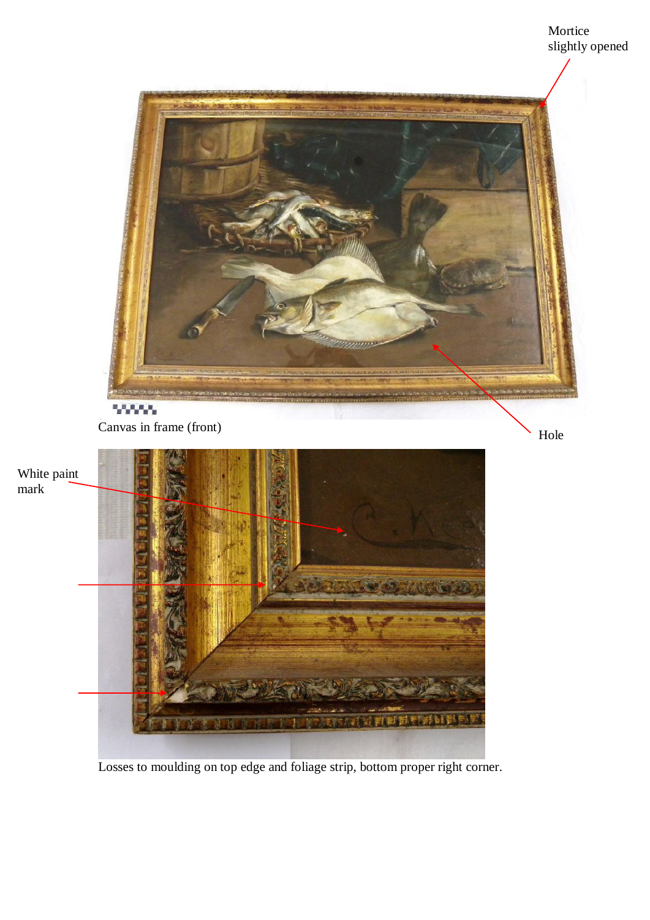

Losses to moulding on top edge and foliage strip, bottom proper right corner.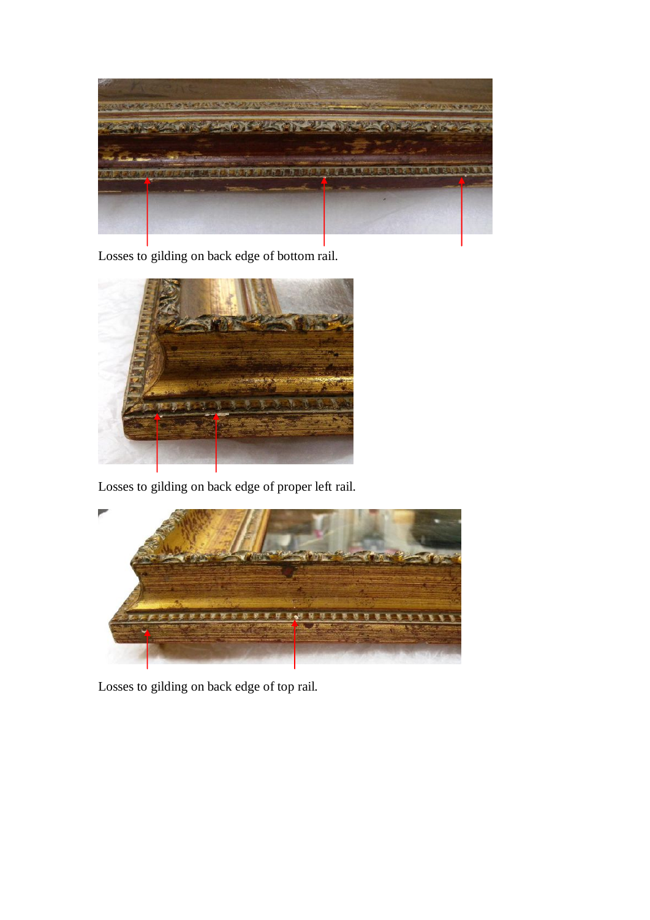

Losses to gilding on back edge of bottom rail.



Losses to gilding on back edge of proper left rail.



Losses to gilding on back edge of top rail.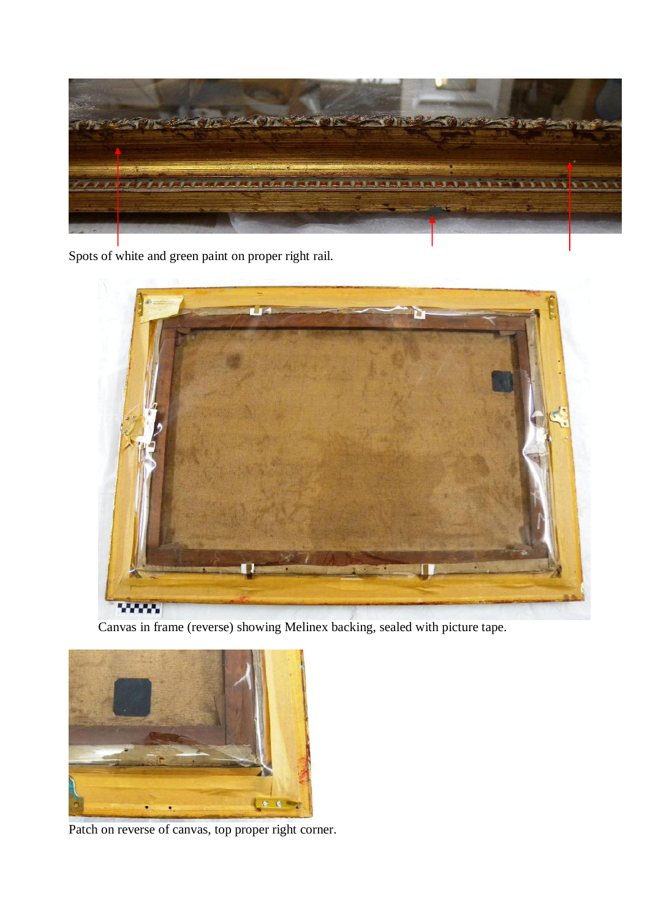

Spots of white and green paint on proper right rail.



Canvas in frame (reverse) showing Melinex backing, sealed with picture tape.



Patch on reverse of canvas, top proper right corner.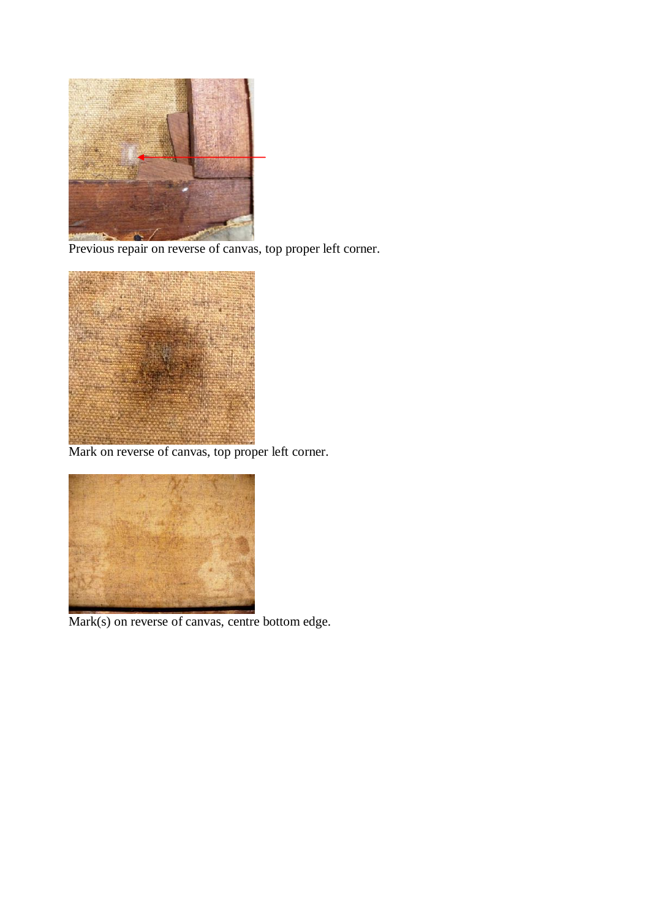

Previous repair on reverse of canvas, top proper left corner.



Mark on reverse of canvas, top proper left corner.



Mark(s) on reverse of canvas, centre bottom edge.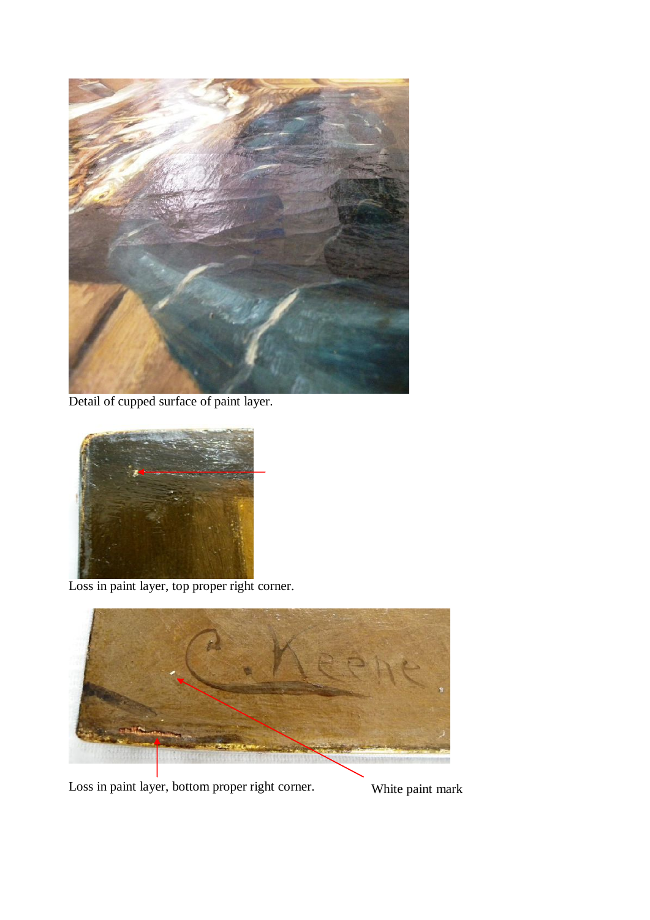

Detail of cupped surface of paint layer.



Loss in paint layer, top proper right corner.



Loss in paint layer, bottom proper right corner. White paint mark